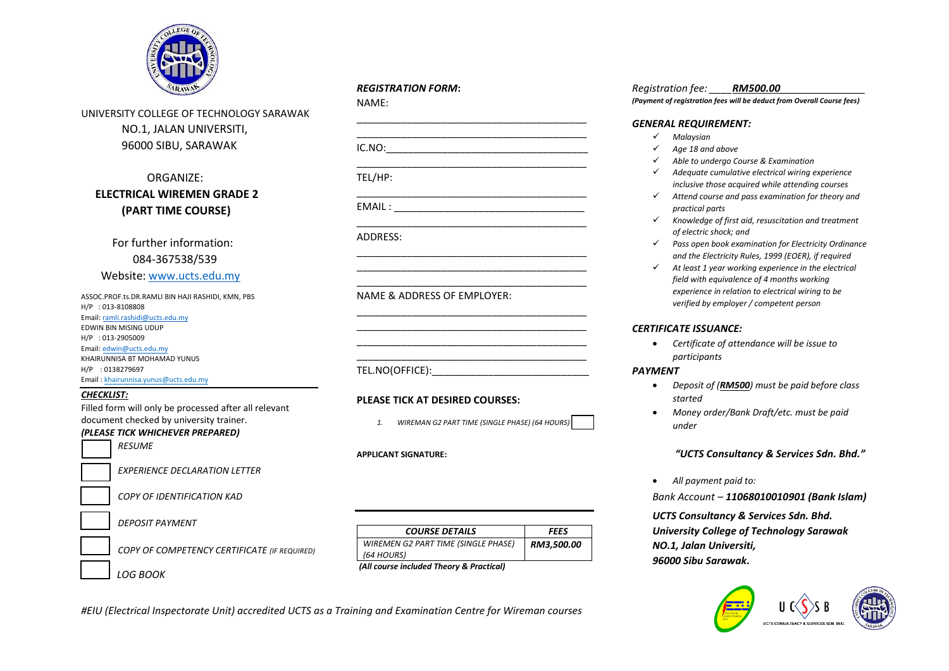

UNIVERSITY COLLEGE OF TECHNOLOGY SARAWAK NO.1, JALAN UNIVERSITI, 96000 SIBU, SARAWAK

### ORGANIZE:  **ELECTRICAL WIREMEN GRADE 2 (PART TIME COURSE)**

 For further information: 084-367538/539 Website: [www.ucts.edu.my](http://www.ucts.edu.my/)

ASSOC.PROF.ts.DR.RAMLI BIN HAJI RASHIDI, KMN, PBS H/P : 013-8108808 Email[: ramli.rashidi@ucts.edu.my](mailto:ramli.rashidi@ucts.edu.my) EDWIN BIN MISING UDUP H/P : 013-2905009 Email[: edwin@ucts.edu.my](mailto:edwin@ucts.edu.my) KHAIRUNNISA BT MOHAMAD YUNUS H/P : 0138279697 Email : khairunnisa.yunus@ucts.edu.my

#### *CHECKLIST:*

Filled form will only be processed after all relevant document checked by university trainer.

# *(PLEASE TICK WHICHEVER PREPARED) RESUME*

*EXPERIENCE DECLARATION LETTER* 

*COPY OF IDENTIFICATION KAD* 

*DEPOSIT PAYMENT* 

*COPY OF COMPETENCY CERTIFICATE (IF REQUIRED)* 

 *LOG BOOK* 

## *REGISTRATION FORM***:**

NAME: \_\_\_\_\_\_\_\_\_\_\_\_\_\_\_\_\_\_\_\_\_\_\_\_\_\_\_\_\_\_\_\_\_\_\_\_\_\_\_\_\_ \_\_\_\_\_\_\_\_\_\_\_\_\_\_\_\_\_\_\_\_\_\_\_\_\_\_\_\_\_\_\_\_\_\_\_\_\_\_\_\_\_  $IC.NO:$ \_\_\_\_\_\_\_\_\_\_\_\_\_\_\_\_\_\_\_\_\_\_\_\_\_\_\_\_\_\_\_\_\_\_\_\_\_\_\_\_\_ [TEL/HP:](TEL:_______________________________________________________________________________)  [\\_\\_\\_\\_\\_\\_\\_\\_\\_\\_\\_\\_\\_\\_\\_\\_\\_\\_\\_\\_\\_\\_\\_\\_\\_\\_\\_\\_\\_\\_\\_\\_\\_\\_\\_\\_\\_\\_\\_\\_\\_](TEL:_______________________________________________________________________________) EMAIL : \_\_\_\_\_\_\_\_\_\_\_\_\_\_\_\_\_\_\_\_\_\_\_\_\_\_\_\_\_\_\_\_\_\_\_\_\_\_\_\_\_ ADDRESS: \_\_\_\_\_\_\_\_\_\_\_\_\_\_\_\_\_\_\_\_\_\_\_\_\_\_\_\_\_\_\_\_\_\_\_\_\_\_\_\_\_ \_\_\_\_\_\_\_\_\_\_\_\_\_\_\_\_\_\_\_\_\_\_\_\_\_\_\_\_\_\_\_\_\_\_\_\_\_\_\_\_\_

NAME & ADDRESS OF EMPLOYER:

TEL.NO(OFFICE):

#### **PLEASE TICK AT DESIRED COURSES:**

*1. WIREMAN G2 PART TIME (SINGLE PHASE) (64 HOURS)*

\_\_\_\_\_\_\_\_\_\_\_\_\_\_\_\_\_\_\_\_\_\_\_\_\_\_\_\_\_\_\_\_\_\_\_\_\_\_\_\_\_

\_\_\_\_\_\_\_\_\_\_\_\_\_\_\_\_\_\_\_\_\_\_\_\_\_\_\_\_\_\_\_\_\_\_\_\_\_\_\_\_\_ \_\_\_\_\_\_\_\_\_\_\_\_\_\_\_\_\_\_\_\_\_\_\_\_\_\_\_\_\_\_\_\_\_\_\_\_\_\_\_\_\_ \_\_\_\_\_\_\_\_\_\_\_\_\_\_\_\_\_\_\_\_\_\_\_\_\_\_\_\_\_\_\_\_\_\_\_\_\_\_\_\_\_ \_\_\_\_\_\_\_\_\_\_\_\_\_\_\_\_\_\_\_\_\_\_\_\_\_\_\_\_\_\_\_\_\_\_\_\_\_\_\_\_\_

#### **APPLICANT SIGNATURE:**

| <b>COURSE DETAILS</b>                      | FEES       |
|--------------------------------------------|------------|
| <b>WIREMEN G2 PART TIME (SINGLE PHASE)</b> | RM3.500.00 |
| (64 HOURS)                                 |            |
| (All course included Theory: 0 Depatient)  |            |

*(All course included Theory & Practical)*

*#EIU (Electrical Inspectorate Unit) accredited UCTS as a Training and Examination Centre for Wireman courses* 

#### *Registration fee: \_\_\_\_RM500.00\_\_\_\_\_\_\_\_\_\_\_\_\_\_\_*

*(Payment of registration fees will be deduct from Overall Course fees)* 

#### *GENERAL REQUIREMENT:*

- *Malaysian*
- *Age 18 and above*
- *Able to undergo Course & Examination*
- *Adequate cumulative electrical wiring experience inclusive those acquired while attending courses*
- *Attend course and pass examination for theory and practical parts*
- *Knowledge of first aid, resuscitation and treatment of electric shock; and*
- *Pass open book examination for Electricity Ordinance and the Electricity Rules, 1999 (EOER), if required*
- *At least 1 year working experience in the electrical field with equivalence of 4 months working experience in relation to electrical wiring to be verified by employer / competent person*

#### *CERTIFICATE ISSUANCE:*

 *Certificate of attendance will be issue to participants*

#### *PAYMENT*

- *Deposit of (RM500) must be paid before class started*
- *Money order/Bank Draft/etc. must be paid under*

*"UCTS Consultancy & Services Sdn. Bhd."*

*All payment paid to:*

*Bank Account – 11068010010901 (Bank Islam)*

*UCTS Consultancy & Services Sdn. Bhd. University College of Technology Sarawak NO.1, Jalan Universiti, 96000 Sibu Sarawak.*